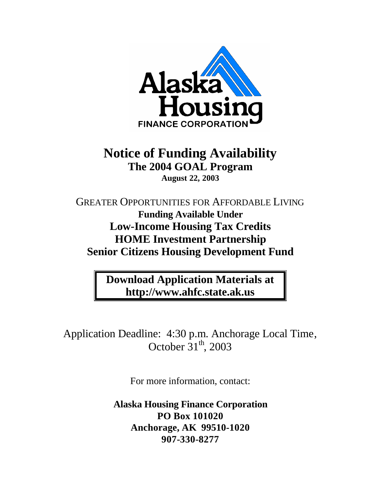

# **Notice of Funding Availability The 2004 GOAL Program August 22, 2003**

GREATER OPPORTUNITIES FOR AFFORDABLE LIVING **Funding Available Under Low-Income Housing Tax Credits HOME Investment Partnership Senior Citizens Housing Development Fund**

> **Download Application Materials at http://www.ahfc.state.ak.us**

Application Deadline: 4:30 p.m. Anchorage Local Time, October  $31<sup>th</sup>$ , 2003

For more information, contact:

**Alaska Housing Finance Corporation PO Box 101020 Anchorage, AK 99510-1020 907-330-8277**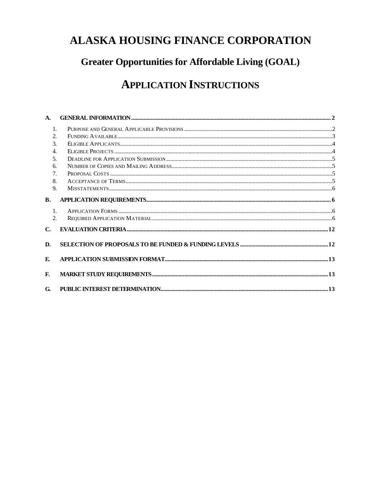# **ALASKA HOUSING FINANCE CORPORATION**

# **Greater Opportunities for Affordable Living (GOAL)**

# **APPLICATION INSTRUCTIONS**

| A.                          |  |
|-----------------------------|--|
| 1.                          |  |
| 2.                          |  |
| $\mathcal{F}_{\mathcal{L}}$ |  |
| $\overline{4}$ .            |  |
| 5.                          |  |
| 6.                          |  |
| $7_{\cdot}$                 |  |
| 8.                          |  |
| 9.                          |  |
| <b>B.</b>                   |  |
| $\mathbf{1}$ .              |  |
| 2 <sub>1</sub>              |  |
| $\mathbf{C}$ .              |  |
| D.                          |  |
| E.                          |  |
| F.                          |  |
| G.                          |  |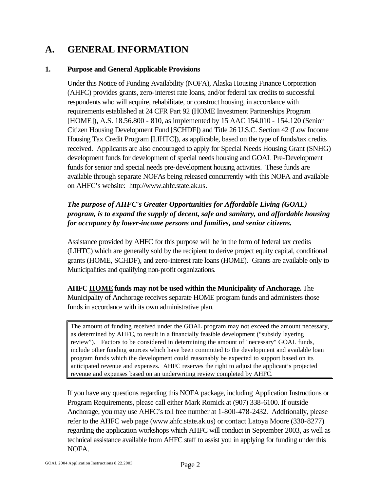## **A. GENERAL INFORMATION**

#### **1. Purpose and General Applicable Provisions**

Under this Notice of Funding Availability (NOFA), Alaska Housing Finance Corporation (AHFC) provides grants, zero-interest rate loans, and/or federal tax credits to successful respondents who will acquire, rehabilitate, or construct housing, in accordance with requirements established at 24 CFR Part 92 (HOME Investment Partnerships Program [HOME]), A.S. 18.56.800 - 810, as implemented by 15 AAC 154.010 - 154.120 (Senior Citizen Housing Development Fund [SCHDF]) and Title 26 U.S.C. Section 42 (Low Income Housing Tax Credit Program [LIHTC]), as applicable, based on the type of funds/tax credits received. Applicants are also encouraged to apply for Special Needs Housing Grant (SNHG) development funds for development of special needs housing and GOAL Pre-Development funds for senior and special needs pre-development housing activities. These funds are available through separate NOFAs being released concurrently with this NOFA and available on AHFC's website: http://www.ahfc.state.ak.us.

#### *The purpose of AHFC's Greater Opportunities for Affordable Living (GOAL) program, is to expand the supply of decent, safe and sanitary, and affordable housing for occupancy by lower-income persons and families, and senior citizens.*

Assistance provided by AHFC for this purpose will be in the form of federal tax credits (LIHTC) which are generally sold by the recipient to derive project equity capital, conditional grants (HOME, SCHDF), and zero-interest rate loans (HOME). Grants are available only to Municipalities and qualifying non-profit organizations.

**AHFC HOME funds may not be used within the Municipality of Anchorage.** The Municipality of Anchorage receives separate HOME program funds and administers those funds in accordance with its own administrative plan.

The amount of funding received under the GOAL program may not exceed the amount necessary, as determined by AHFC, to result in a financially feasible development ("subsidy layering review"). Factors to be considered in determining the amount of "necessary" GOAL funds, include other funding sources which have been committed to the development and available loan program funds which the development could reasonably be expected to support based on its anticipated revenue and expenses. AHFC reserves the right to adjust the applicant's projected revenue and expenses based on an underwriting review completed by AHFC.

If you have any questions regarding this NOFA package, including Application Instructions or Program Requirements, please call either Mark Romick at (907) 338-6100. If outside Anchorage, you may use AHFC's toll free number at 1-800-478-2432. Additionally, please refer to the AHFC web page (www.ahfc.state.ak.us) or contact Latoya Moore (330-8277) regarding the application workshops which AHFC will conduct in September 2003, as well as technical assistance available from AHFC staff to assist you in applying for funding under this NOFA.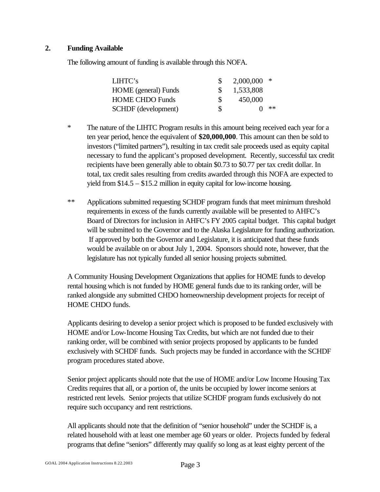#### **2. Funding Available**

The following amount of funding is available through this NOFA.

| LIHTC's                     |     | $2,000,000$ * |    |
|-----------------------------|-----|---------------|----|
| <b>HOME</b> (general) Funds |     | 1,533,808     |    |
| <b>HOME CHDO Funds</b>      | -SS | 450,000       |    |
| <b>SCHDF</b> (development)  | S.  |               | ** |

- \* The nature of the LIHTC Program results in this amount being received each year for a ten year period, hence the equivalent of **\$20,000,000**. This amount can then be sold to investors ("limited partners"), resulting in tax credit sale proceeds used as equity capital necessary to fund the applicant's proposed development. Recently, successful tax credit recipients have been generally able to obtain \$0.73 to \$0.77 per tax credit dollar. In total, tax credit sales resulting from credits awarded through this NOFA are expected to yield from \$14.5 – \$15.2 million in equity capital for low-income housing.
- \*\* Applications submitted requesting SCHDF program funds that meet minimum threshold requirements in excess of the funds currently available will be presented to AHFC's Board of Directors for inclusion in AHFC's FY 2005 capital budget. This capital budget will be submitted to the Governor and to the Alaska Legislature for funding authorization. If approved by both the Governor and Legislature, it is anticipated that these funds would be available on or about July 1, 2004. Sponsors should note, however, that the legislature has not typically funded all senior housing projects submitted.

A Community Housing Development Organizations that applies for HOME funds to develop rental housing which is not funded by HOME general funds due to its ranking order, will be ranked alongside any submitted CHDO homeownership development projects for receipt of HOME CHDO funds.

Applicants desiring to develop a senior project which is proposed to be funded exclusively with HOME and/or Low-Income Housing Tax Credits, but which are not funded due to their ranking order, will be combined with senior projects proposed by applicants to be funded exclusively with SCHDF funds. Such projects may be funded in accordance with the SCHDF program procedures stated above.

Senior project applicants should note that the use of HOME and/or Low Income Housing Tax Credits requires that all, or a portion of, the units be occupied by lower income seniors at restricted rent levels. Senior projects that utilize SCHDF program funds exclusively do not require such occupancy and rent restrictions.

All applicants should note that the definition of "senior household" under the SCHDF is, a related household with at least one member age 60 years or older. Projects funded by federal programs that define "seniors" differently may qualify so long as at least eighty percent of the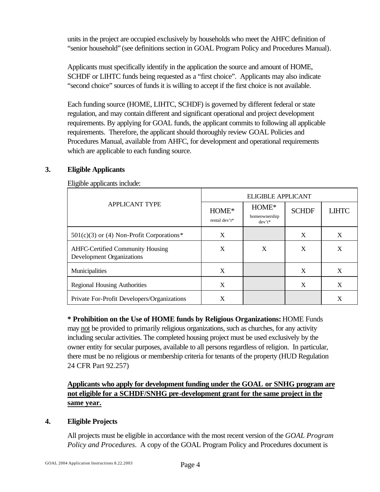units in the project are occupied exclusively by households who meet the AHFC definition of "senior household" (see definitions section in GOAL Program Policy and Procedures Manual).

Applicants must specifically identify in the application the source and amount of HOME, SCHDF or LIHTC funds being requested as a "first choice". Applicants may also indicate "second choice" sources of funds it is willing to accept if the first choice is not available.

Each funding source (HOME, LIHTC, SCHDF) is governed by different federal or state regulation, and may contain different and significant operational and project development requirements. By applying for GOAL funds, the applicant commits to following all applicable requirements. Therefore, the applicant should thoroughly review GOAL Policies and Procedures Manual, available from AHFC, for development and operational requirements which are applicable to each funding source.

#### **3. Eligible Applicants**

Eligible applicants include:

|                                                                             | <b>ELIGIBLE APPLICANT</b> |                                     |              |              |
|-----------------------------------------------------------------------------|---------------------------|-------------------------------------|--------------|--------------|
| <b>APPLICANT TYPE</b>                                                       | HOME*<br>rental dev't*    | HOME*<br>homeownership<br>$dev't^*$ | <b>SCHDF</b> | <b>LIHTC</b> |
| $501(c)(3)$ or (4) Non-Profit Corporations*                                 | X                         |                                     | X            | X            |
| <b>AHFC-Certified Community Housing</b><br><b>Development Organizations</b> | X                         | X                                   | X            | X            |
| Municipalities                                                              | X                         |                                     | X            | X            |
| <b>Regional Housing Authorities</b>                                         | X                         |                                     | X            | X            |
| Private For-Profit Developers/Organizations                                 | X                         |                                     |              | X            |

**\* Prohibition on the Use of HOME funds by Religious Organizations:** HOME Funds may not be provided to primarily religious organizations, such as churches, for any activity including secular activities. The completed housing project must be used exclusively by the owner entity for secular purposes, available to all persons regardless of religion. In particular, there must be no religious or membership criteria for tenants of the property (HUD Regulation 24 CFR Part 92.257)

### **Applicants who apply for development funding under the GOAL or SNHG program are not eligible for a SCHDF/SNHG pre-development grant for the same project in the same year.**

#### **4. Eligible Projects**

All projects must be eligible in accordance with the most recent version of the *GOAL Program Policy and Procedures*. A copy of the GOAL Program Policy and Procedures document is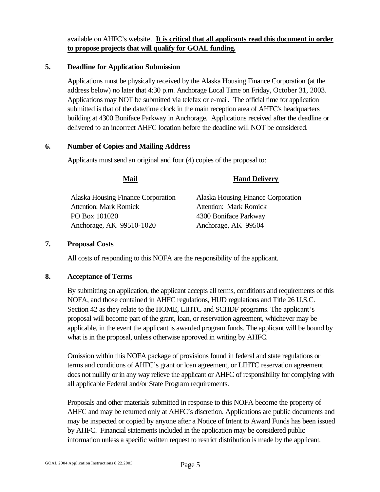available on AHFC's website. **It is critical that all applicants read this document in order to propose projects that will qualify for GOAL funding.**

#### **5. Deadline for Application Submission**

Applications must be physically received by the Alaska Housing Finance Corporation (at the address below) no later that 4:30 p.m. Anchorage Local Time on Friday, October 31, 2003. Applications may NOT be submitted via telefax or e-mail. The official time for application submitted is that of the date/time clock in the main reception area of AHFC's headquarters building at 4300 Boniface Parkway in Anchorage. Applications received after the deadline or delivered to an incorrect AHFC location before the deadline will NOT be considered.

#### **6. Number of Copies and Mailing Address**

Applicants must send an original and four (4) copies of the proposal to:

#### **Mail Hand Delivery**

Alaska Housing Finance Corporation Attention: Mark Romick PO Box 101020 Anchorage, AK 99510-1020

Alaska Housing Finance Corporation Attention: Mark Romick 4300 Boniface Parkway Anchorage, AK 99504

#### **7. Proposal Costs**

All costs of responding to this NOFA are the responsibility of the applicant.

#### **8. Acceptance of Terms**

By submitting an application, the applicant accepts all terms, conditions and requirements of this NOFA, and those contained in AHFC regulations, HUD regulations and Title 26 U.S.C. Section 42 as they relate to the HOME, LIHTC and SCHDF programs. The applicant's proposal will become part of the grant, loan, or reservation agreement, whichever may be applicable, in the event the applicant is awarded program funds. The applicant will be bound by what is in the proposal, unless otherwise approved in writing by AHFC.

Omission within this NOFA package of provisions found in federal and state regulations or terms and conditions of AHFC's grant or loan agreement, or LIHTC reservation agreement does not nullify or in any way relieve the applicant or AHFC of responsibility for complying with all applicable Federal and/or State Program requirements.

Proposals and other materials submitted in response to this NOFA become the property of AHFC and may be returned only at AHFC's discretion. Applications are public documents and may be inspected or copied by anyone after a Notice of Intent to Award Funds has been issued by AHFC. Financial statements included in the application may be considered public information unless a specific written request to restrict distribution is made by the applicant.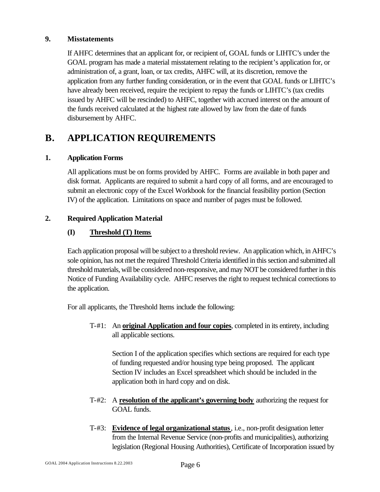#### **9. Misstatements**

If AHFC determines that an applicant for, or recipient of, GOAL funds or LIHTC's under the GOAL program has made a material misstatement relating to the recipient's application for, or administration of, a grant, loan, or tax credits, AHFC will, at its discretion, remove the application from any further funding consideration, or in the event that GOAL funds or LIHTC's have already been received, require the recipient to repay the funds or LIHTC's (tax credits issued by AHFC will be rescinded) to AHFC, together with accrued interest on the amount of the funds received calculated at the highest rate allowed by law from the date of funds disbursement by AHFC.

## **B. APPLICATION REQUIREMENTS**

#### **1. Application Forms**

All applications must be on forms provided by AHFC. Forms are available in both paper and disk format. Applicants are required to submit a hard copy of all forms, and are encouraged to submit an electronic copy of the Excel Workbook for the financial feasibility portion (Section IV) of the application. Limitations on space and number of pages must be followed.

#### **2. Required Application Material**

#### **(I) Threshold (T) Items**

Each application proposal will be subject to a threshold review. An application which, in AHFC's sole opinion, has not met the required Threshold Criteria identified in this section and submitted all threshold materials, will be considered non-responsive, and may NOT be considered further in this Notice of Funding Availability cycle. AHFC reserves the right to request technical corrections to the application.

For all applicants, the Threshold Items include the following:

T-#1: An **original Application and four copies**, completed in its entirety, including all applicable sections.

Section I of the application specifies which sections are required for each type of funding requested and/or housing type being proposed. The applicant Section IV includes an Excel spreadsheet which should be included in the application both in hard copy and on disk.

- T-#2: A **resolution of the applicant's governing body** authorizing the request for GOAL funds.
- T-#3: **Evidence of legal organizational status**, i.e., non-profit designation letter from the Internal Revenue Service (non-profits and municipalities), authorizing legislation (Regional Housing Authorities), Certificate of Incorporation issued by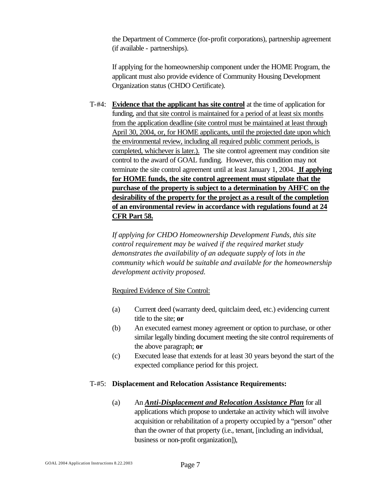the Department of Commerce (for-profit corporations), partnership agreement (if available - partnerships).

If applying for the homeownership component under the HOME Program, the applicant must also provide evidence of Community Housing Development Organization status (CHDO Certificate).

T-#4: **Evidence that the applicant has site control** at the time of application for funding, and that site control is maintained for a period of at least six months from the application deadline (site control must be maintained at least through April 30, 2004, or, for HOME applicants, until the projected date upon which the environmental review, including all required public comment periods, is completed, whichever is later.). The site control agreement may condition site control to the award of GOAL funding. However, this condition may not terminate the site control agreement until at least January 1, 2004. **If applying for HOME funds, the site control agreement must stipulate that the purchase of the property is subject to a determination by AHFC on the desirability of the property for the project as a result of the completion of an environmental review in accordance with regulations found at 24 CFR Part 58.**

*If applying for CHDO Homeownership Development Funds, this site control requirement may be waived if the required market study demonstrates the availability of an adequate supply of lots in the community which would be suitable and available for the homeownership development activity proposed.* 

Required Evidence of Site Control:

- (a) Current deed (warranty deed, quitclaim deed, etc.) evidencing current title to the site; **or**
- (b) An executed earnest money agreement or option to purchase, or other similar legally binding document meeting the site control requirements of the above paragraph; **or**
- (c) Executed lease that extends for at least 30 years beyond the start of the expected compliance period for this project.

#### T-#5: **Displacement and Relocation Assistance Requirements:**

(a) An *Anti-Displacement and Relocation Assistance Plan* for all applications which propose to undertake an activity which will involve acquisition or rehabilitation of a property occupied by a "person" other than the owner of that property (i.e., tenant, [including an individual, business or non-profit organization]),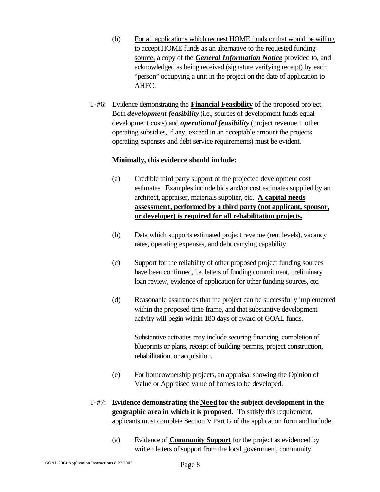- (b) For all applications which request HOME funds or that would be willing to accept HOME funds as an alternative to the requested funding source, a copy of the *General Information Notice* provided to, and acknowledged as being received (signature verifying receipt) by each "person" occupying a unit in the project on the date of application to AHFC.
- T-#6: Evidence demonstrating the **Financial Feasibility** of the proposed project. Both *development feasibility* (i.e., sources of development funds equal development costs) and *operational feasibility* (project revenue + other operating subsidies, if any, exceed in an acceptable amount the projects operating expenses and debt service requirements) must be evident.

#### **Minimally, this evidence should include:**

- (a) Credible third party support of the projected development cost estimates. Examples include bids and/or cost estimates supplied by an architect, appraiser, materials supplier, etc. **A capital needs assessment, performed by a third party (not applicant, sponsor, or developer) is required for all rehabilitation projects.**
- (b) Data which supports estimated project revenue (rent levels), vacancy rates, operating expenses, and debt carrying capability.
- (c) Support for the reliability of other proposed project funding sources have been confirmed, i.e. letters of funding commitment, preliminary loan review, evidence of application for other funding sources, etc.
- (d) Reasonable assurances that the project can be successfully implemented within the proposed time frame, and that substantive development activity will begin within 180 days of award of GOAL funds.

Substantive activities may include securing financing, completion of blueprints or plans, receipt of building permits, project construction, rehabilitation, or acquisition.

- (e) For homeownership projects, an appraisal showing the Opinion of Value or Appraised value of homes to be developed.
- T-#7: **Evidence demonstrating the Need for the subject development in the geographic area in which it is proposed.** To satisfy this requirement, applicants must complete Section V Part G of the application form and include:
	- (a) Evidence of **Community Support** for the project as evidenced by written letters of support from the local government, community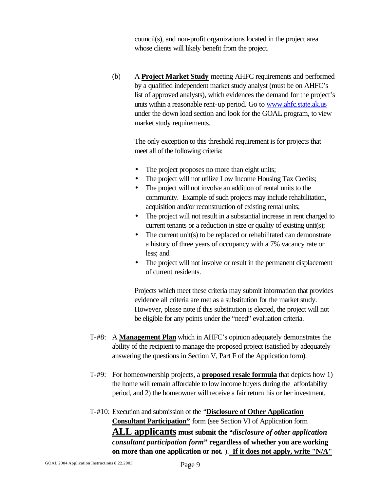council(s), and non-profit organizations located in the project area whose clients will likely benefit from the project.

(b) A **Project Market Study** meeting AHFC requirements and performed by a qualified independent market study analyst (must be on AHFC's list of approved analysts), which evidences the demand for the project's units within a reasonable rent-up period. Go to www.ahfc.state.ak.us under the down load section and look for the GOAL program, to view market study requirements.

The only exception to this threshold requirement is for projects that meet all of the following criteria:

- The project proposes no more than eight units;
- The project will not utilize Low Income Housing Tax Credits;
- The project will not involve an addition of rental units to the community. Example of such projects may include rehabilitation, acquisition and/or reconstruction of existing rental units;
- The project will not result in a substantial increase in rent charged to current tenants or a reduction in size or quality of existing unit(s);
- The current unit(s) to be replaced or rehabilitated can demonstrate a history of three years of occupancy with a 7% vacancy rate or less; and
- The project will not involve or result in the permanent displacement of current residents.

Projects which meet these criteria may submit information that provides evidence all criteria are met as a substitution for the market study. However, please note if this substitution is elected, the project will not be eligible for any points under the "need" evaluation criteria.

- T-#8: A **Management Plan** which in AHFC's opinion adequately demonstrates the ability of the recipient to manage the proposed project (satisfied by adequately answering the questions in Section V, Part F of the Application form).
- T-#9: For homeownership projects, a **proposed resale formula** that depicts how 1) the home will remain affordable to low income buyers during the affordability period, and 2) the homeowner will receive a fair return his or her investment.
- T-#10: Execution and submission of the "**Disclosure of Other Application Consultant Participation"** form (see Section VI of Application form **ALL applicants must submit the** *"disclosure of other application consultant participation form***" regardless of whether you are working on more than one application or not***.* ). **If it does not apply, write "N/A"**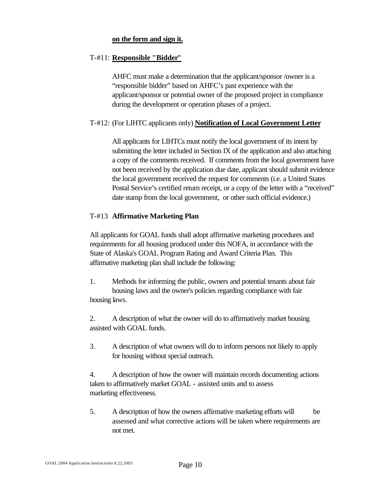#### **on the form and sign it.**

#### T-#11: **Responsible "Bidder"**

AHFC must make a determination that the applicant/sponsor /owner is a "responsible bidder" based on AHFC's past experience with the applicant/sponsor or potential owner of the proposed project in compliance during the development or operation phases of a project.

#### T-#12: (For LIHTC applicants only) **Notification of Local Government Letter**

All applicants for LIHTCs must notify the local government of its intent by submitting the letter included in Section IX of the application and also attaching a copy of the comments received. If comments from the local government have not been received by the application due date, applicant should submit evidence the local government received the request for comments (i.e. a United States Postal Service's certified return receipt, or a copy of the letter with a "received" date stamp from the local government, or other such official evidence.)

#### T-#13 **Affirmative Marketing Plan**

All applicants for GOAL funds shall adopt affirmative marketing procedures and requirements for all housing produced under this NOFA, in accordance with the State of Alaska's GOAL Program Rating and Award Criteria Plan. This affirmative marketing plan shall include the following:

1. Methods for informing the public, owners and potential tenants about fair housing laws and the owner's policies regarding compliance with fair housing laws.

2. A description of what the owner will do to affirmatively market housing assisted with GOAL funds.

3. A description of what owners will do to inform persons not likely to apply for housing without special outreach.

4. A description of how the owner will maintain records documenting actions taken to affirmatively market GOAL - assisted units and to assess marketing effectiveness.

5. A description of how the owners affirmative marketing efforts will be assessed and what corrective actions will be taken where requirements are not met.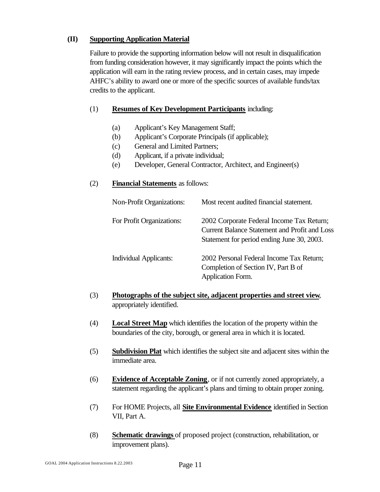#### **(II) Supporting Application Material**

Failure to provide the supporting information below will not result in disqualification from funding consideration however, it may significantly impact the points which the application will earn in the rating review process, and in certain cases, may impede AHFC's ability to award one or more of the specific sources of available funds/tax credits to the applicant.

#### (1) **Resumes of Key Development Participants** including:

- (a) Applicant's Key Management Staff;
- (b) Applicant's Corporate Principals (if applicable);
- (c) General and Limited Partners;
- (d) Applicant, if a private individual;
- (e) Developer, General Contractor, Architect, and Engineer(s)

#### (2) **Financial Statements** as follows:

| <b>Non-Profit Organizations:</b> | Most recent audited financial statement.                                                                                                        |
|----------------------------------|-------------------------------------------------------------------------------------------------------------------------------------------------|
| For Profit Organizations:        | 2002 Corporate Federal Income Tax Return;<br><b>Current Balance Statement and Profit and Loss</b><br>Statement for period ending June 30, 2003. |
| <b>Individual Applicants:</b>    | 2002 Personal Federal Income Tax Return;<br>Completion of Section IV, Part B of<br>Application Form.                                            |

- (3) **Photographs of the subject site, adjacent properties and street view**, appropriately identified.
- (4) **Local Street Map** which identifies the location of the property within the boundaries of the city, borough, or general area in which it is located.
- (5) **Subdivision Plat** which identifies the subject site and adjacent sites within the immediate area.
- (6) **Evidence of Acceptable Zoning**, or if not currently zoned appropriately, a statement regarding the applicant's plans and timing to obtain proper zoning.
- (7) For HOME Projects, all **Site Environmental Evidence** identified in Section VII, Part A.
- (8) **Schematic drawings** of proposed project (construction, rehabilitation, or improvement plans).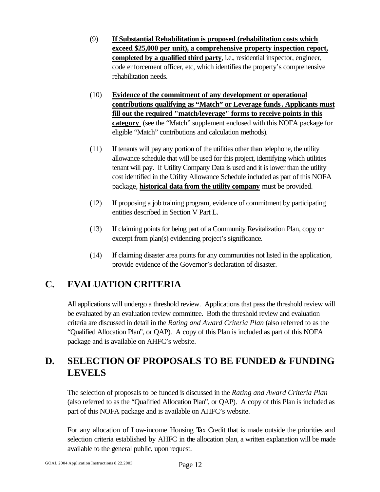- (9) **If Substantial Rehabilitation is proposed (rehabilitation costs which exceed \$25,000 per unit), a comprehensive property inspection report, completed by a qualified third party**, i.e., residential inspector, engineer, code enforcement officer, etc, which identifies the property's comprehensive rehabilitation needs.
- (10) **Evidence of the commitment of any development or operational contributions qualifying as "Match" or Leverage funds. Applicants must fill out the required "match/leverage" forms to receive points in this category** (see the "Match" supplement enclosed with this NOFA package for eligible "Match" contributions and calculation methods).
- (11) If tenants will pay any portion of the utilities other than telephone, the utility allowance schedule that will be used for this project, identifying which utilities tenant will pay. If Utility Company Data is used and it is lower than the utility cost identified in the Utility Allowance Schedule included as part of this NOFA package, **historical data from the utility company** must be provided.
- (12) If proposing a job training program, evidence of commitment by participating entities described in Section V Part L.
- (13) If claiming points for being part of a Community Revitalization Plan, copy or excerpt from plan(s) evidencing project's significance.
- (14) If claiming disaster area points for any communities not listed in the application, provide evidence of the Governor's declaration of disaster.

## **C. EVALUATION CRITERIA**

All applications will undergo a threshold review. Applications that pass the threshold review will be evaluated by an evaluation review committee. Both the threshold review and evaluation criteria are discussed in detail in the *Rating and Award Criteria Plan* (also referred to as the "Qualified Allocation Plan", or QAP). A copy of this Plan is included as part of this NOFA package and is available on AHFC's website.

## **D. SELECTION OF PROPOSALS TO BE FUNDED & FUNDING LEVELS**

The selection of proposals to be funded is discussed in the *Rating and Award Criteria Plan* (also referred to as the "Qualified Allocation Plan", or QAP). A copy of this Plan is included as part of this NOFA package and is available on AHFC's website.

For any allocation of Low-income Housing Tax Credit that is made outside the priorities and selection criteria established by AHFC in the allocation plan, a written explanation will be made available to the general public, upon request.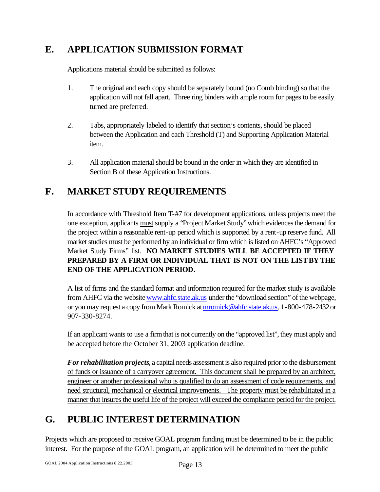## **E. APPLICATION SUBMISSION FORMAT**

Applications material should be submitted as follows:

- 1. The original and each copy should be separately bound (no Comb binding) so that the application will not fall apart. Three ring binders with ample room for pages to be easily turned are preferred.
- 2. Tabs, appropriately labeled to identify that section's contents, should be placed between the Application and each Threshold (T) and Supporting Application Material item.
- 3. All application material should be bound in the order in which they are identified in Section B of these Application Instructions.

## **F. MARKET STUDY REQUIREMENTS**

In accordance with Threshold Item T-#7 for development applications, unless projects meet the one exception, applicants must supply a "Project Market Study" which evidences the demand for the project within a reasonable rent-up period which is supported by a rent-up reserve fund. All market studies must be performed by an individual or firm which is listed on AHFC's "Approved Market Study Firms" list. **NO MARKET STUDIES WILL BE ACCEPTED IF THEY PREPARED BY A FIRM OR INDIVIDUAL THAT IS NOT ON THE LIST BY THE END OF THE APPLICATION PERIOD.**

A list of firms and the standard format and information required for the market study is available from AHFC via the website www.ahfc.state.ak.us under the "download section" of the webpage, or you may request a copy from Mark Romick at mromick@ahfc.state.ak.us, 1-800-478-2432 or 907-330-8274.

If an applicant wants to use a firm that is not currently on the "approved list", they must apply and be accepted before the October 31, 2003 application deadline.

*For rehabilitation projects*, a capital needs assessment is also required prior to the disbursement of funds or issuance of a carryover agreement. This document shall be prepared by an architect, engineer or another professional who is qualified to do an assessment of code requirements, and need structural, mechanical or electrical improvements. The property must be rehabilitated in a manner that insures the useful life of the project will exceed the compliance period for the project.

## **G. PUBLIC INTEREST DETERMINATION**

Projects which are proposed to receive GOAL program funding must be determined to be in the public interest. For the purpose of the GOAL program, an application will be determined to meet the public